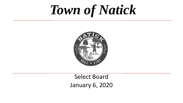# *Town of Natick*



### Select Board January 6, 2020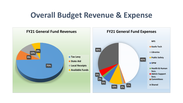### **Overall Budget Revenue & Expense**

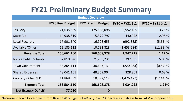# **FY21 Preliminary Budget Summary**

|                              |                         | <b>Budget Overview</b>    |                        |                        |
|------------------------------|-------------------------|---------------------------|------------------------|------------------------|
|                              | <b>FY20 Rev. Budget</b> | <b>FY21 Prelim Budget</b> | $FY20 - FY21 $ \Delta$ | FY20 - FY21 % $\Delta$ |
| Tax Levy                     | 121,635,689             | 125,588,098               | 3,952,409              | 3.25 %                 |
| <b>State Aid</b>             | 14,938,819              | 15,379,797                | 440,978                | 2.95 %                 |
| <b>Local Receipts</b>        | 17,901,540              | 16,908,655                | (992, 885)             | $(5.55)$ %             |
| Available/Other              | 12, 185, 112            | 10,731,828                | (1,453,284)            | (11.93) %              |
| <b>Revenue Total</b>         | 166,661,160             | 168,608,378               | 1,947,218              | 1.17 %                 |
| <b>Natick Public Schools</b> | 67,810,346              | 71,203,231                | 3,392,885              | 5.00 %                 |
| Town Government*             | 38,864,114              | 38,643,131                | (220, 983)             | (0.57) %               |
| <b>Shared Expenses</b>       | 48,041,101              | 48,369,904                | 328,803                | 0.68 %                 |
| Capital / Other & KT         | 11,868,589              | 10,392,112                | (1,476,477)            | $(12.44)$ %            |
| <b>Expense Total</b>         | 166,584,150             | 168,608,378               | 2,024,228              | 1.22%                  |
| <b>Net Excess/(Deficit)</b>  | 77,010                  | 0                         |                        |                        |

\*Increase in Town Government from Base FY20 Budget is 1.4% or \$514,823 (decrease in table is from FATM appropriations)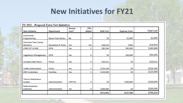### **New Initiatives for FY21**

| <b>New Initiative</b>                           | <b>Department</b>             | Annual<br>Cost? | <b>FTEs</b><br>Added | <b>Staff Cost</b> | <b>Expense Costs</b> | <b>Total Cost</b> |
|-------------------------------------------------|-------------------------------|-----------------|----------------------|-------------------|----------------------|-------------------|
| Community<br>Programming                        | <b>Bacon Free Library</b>     | No              | 0                    | \$0               | \$2,000              | \$2,000           |
| <b>Part-time Teen Center</b><br><b>Monitors</b> | <b>Recreation &amp; Parks</b> | Yes             | 0.6                  | \$16,614          | \$300                | \$16,914          |
| <b>LFNR CRT &amp; KMS</b>                       | <b>DPW</b>                    | Yes             | 2                    | \$85,568          | \$95,000             | \$180,968         |
| <b>Vegetation Management</b>                    | <b>DPW</b>                    | Yes             | 0                    | \$0               | \$30,000             | \$30,000          |
| <b>Increase Clerk Hours</b>                     | Police                        | Yes             | 0                    | \$10,511          | \$0                  | \$10,511          |
| <b>Traffic Enforcement</b>                      | Police                        | Yes             | 2                    | \$134,140         | \$0                  | \$134,140         |
| <b>KMS Custodians</b>                           | <b>Facilities</b>             | Yes             | 2                    | \$125,000         | \$0                  | \$125,000         |
| Time & Attendance<br>System                     | Administration                | <b>CAPITAL</b>  | 0                    | \$0               | \$100,000            | \$100,000         |
| Redevelopment<br>Authority                      | <b>Administration</b>         | Yes             | 0                    | \$200,000         | \$0                  | \$200,000         |
|                                                 |                               |                 |                      | \$571,833         | \$227,300            | \$799,133         |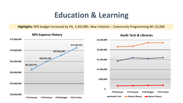# **Education & Learning**

**Highlights:** NPS budget increased by 5%, 3,392,885. New Initiative – Community Programming BFL \$2,000





#### **Keefe Tech & Libraries**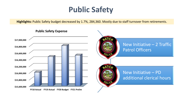# **Public Safety**

**Highlights:** Public Safety budget decreased by 1.7%, 284,360. Mostly due to staff turnover from retirements.

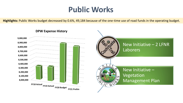### **Public Works**

**Highlights:** Public Works budget decreased by 0.6%, 49,184 because of the one-time use of road funds in the operating budget.



#### **DPW Expense History**

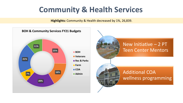### **Community & Health Services**

**Highlights:** Community & Health decreased by 1%, 26,839.



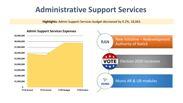### **Administrative Support Services**

**Highlights:** Admin Support Services budget decreased by 0.2%, 18,063.

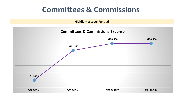### **Committees & Commissions**

**Highlights:** Level Funded

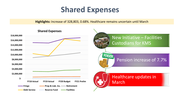### **Shared Expenses**

**Highlights:** Increase of 328,803, 0.68%. Healthcare remains uncertain until March

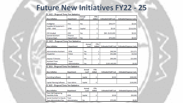# **Future New Initiatives FY22 - 25**

#### FY 2022 - Proposed Town New Initiatives

| <b>New Initiative</b>                                    | <b>Department</b>      | Cost? | Annual          | <b>FTEs</b><br>Added |   | <b>Estimated Staff Cost</b> | <b>Estimated Expense Costs</b> |
|----------------------------------------------------------|------------------------|-------|-----------------|----------------------|---|-----------------------------|--------------------------------|
|                                                          |                        |       |                 |                      |   |                             |                                |
| Firefighter                                              | Fire                   | Yes   |                 | 1                    |   | \$99,577                    | \$0.00                         |
| Supplies & Equipment -<br>LFNR-KMS                       | DPW                    |       | Capital         | 0                    |   | \$0.00                      | \$216,000                      |
| <b>CED Analyst</b>                                       | CED                    | Yes   |                 | 1                    |   | \$80-\$125,000              | \$0.00                         |
| <b>Special Assistant</b>                                 | Finance                |       |                 |                      |   |                             |                                |
| Finance Dept.                                            | Department             | Yes   |                 | 1                    |   | \$75,000                    | \$0.00                         |
| FY 2023 - Proposed Town New Initiatives                  |                        |       |                 |                      |   |                             |                                |
| <b>New Initiative</b>                                    | <b>Department</b>      |       | Annual<br>Cost? | <b>FTEs</b><br>Added |   | <b>Estimated Staff Cost</b> | <b>Estimated Expense Costs</b> |
| Administrative Assistant                                 | <b>DPW</b>             |       | Yes             |                      | 1 | \$46,564                    | \$13,271                       |
| Dispatcher                                               | Police                 |       | Yes             |                      | 1 | \$52,666                    | \$3,018                        |
| Deputy IT Director                                       | IΤ                     |       | Yes             |                      | 1 | \$90,000                    | \$13,000                       |
| <b>Assistant Town</b><br>Administrator                   | Town<br>Administration |       | Yes             |                      | 1 | \$130-140,000               | \$0.00                         |
| FY 2024 - Proposed Town New Initiatives                  |                        |       |                 |                      |   |                             |                                |
| <b>New Initiative</b>                                    | Department             |       | Annual<br>Cost? | <b>FTEs</b><br>Added |   | <b>Estimated Staff Cost</b> | <b>Estimated Expense Costs</b> |
| Permitting Software                                      | CED                    |       | Capital         | 0                    |   | \$0.00                      | \$300,000                      |
| Capital Planning Software                                | Town Admin.            |       | Capital         | 0                    |   |                             | \$150,000                      |
| FY 2025 - Proposed Town New Initiatives                  |                        |       |                 |                      |   |                             |                                |
| <b>New Initiative</b>                                    | <b>Department</b>      |       | Annual<br>Cost? | <b>FTEs</b><br>Added |   | <b>Estimated Staff Cost</b> | <b>Estimated Expense Costs</b> |
| <b>Town Hall Engineering</b><br><b>Feasibility Study</b> | <b>DPW</b>             |       | Capital         | 0                    |   | \$0.00                      | \$50,000                       |
| Special Assistant to Deputy<br>Town Administrator/Ops    | Town<br>Administration |       | Yes             | 1                    |   | \$75,000                    | \$0.00                         |